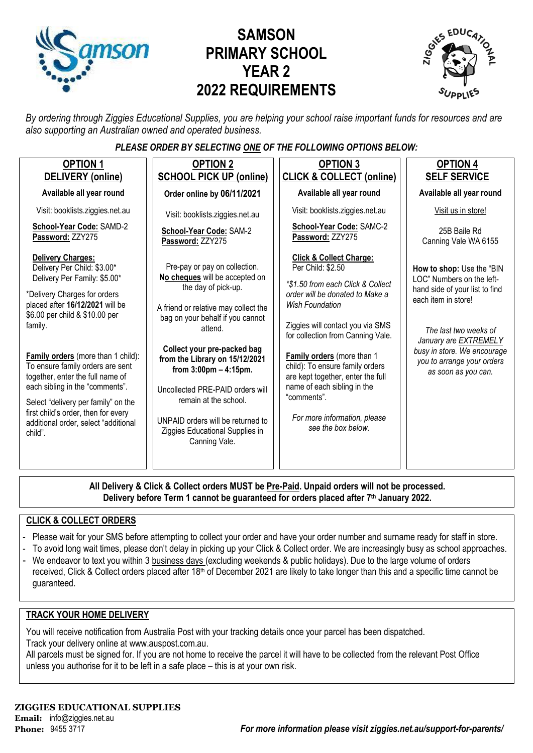

# **SAMSON PRIMARY SCHOOL YEAR 2 2022 REQUIREMENTS**



*By ordering through Ziggies Educational Supplies, you are helping your school raise important funds for resources and are also supporting an Australian owned and operated business.*

#### *PLEASE ORDER BY SELECTING ONE OF THE FOLLOWING OPTIONS BELOW:*

| <b>OPTION 1</b><br>DELIVERY (online)                                                                                                                                                                                                                                                                                         | <b>OPTION 2</b><br><b>SCHOOL PICK UP (online)</b>                                                                                                                                                                                                                                                                                                                                                                                                                                                                                                                                                                                      | <b>OPTION 3</b><br><b>CLICK &amp; COLLECT (online)</b>                                                                                                                                                                                                       | <b>OPTION 4</b><br><b>SELF SERVICE</b> |  |
|------------------------------------------------------------------------------------------------------------------------------------------------------------------------------------------------------------------------------------------------------------------------------------------------------------------------------|----------------------------------------------------------------------------------------------------------------------------------------------------------------------------------------------------------------------------------------------------------------------------------------------------------------------------------------------------------------------------------------------------------------------------------------------------------------------------------------------------------------------------------------------------------------------------------------------------------------------------------------|--------------------------------------------------------------------------------------------------------------------------------------------------------------------------------------------------------------------------------------------------------------|----------------------------------------|--|
| Available all year round                                                                                                                                                                                                                                                                                                     | Order online by 06/11/2021                                                                                                                                                                                                                                                                                                                                                                                                                                                                                                                                                                                                             | Available all year round                                                                                                                                                                                                                                     | Available all year round               |  |
| Visit: booklists.ziggies.net.au                                                                                                                                                                                                                                                                                              | Visit: booklists.ziggies.net.au                                                                                                                                                                                                                                                                                                                                                                                                                                                                                                                                                                                                        | Visit: booklists.ziggies.net.au                                                                                                                                                                                                                              | Visit us in store!                     |  |
| School-Year Code: SAMD-2<br>Password: ZZY275                                                                                                                                                                                                                                                                                 | School-Year Code: SAM-2<br>Password: ZZY275                                                                                                                                                                                                                                                                                                                                                                                                                                                                                                                                                                                            | School-Year Code: SAMC-2<br>Password: ZZY275                                                                                                                                                                                                                 | 25B Baile Rd<br>Canning Vale WA 6155   |  |
| <b>Delivery Charges:</b><br>Delivery Per Child: \$3.00*<br>Delivery Per Family: \$5.00*<br>*Delivery Charges for orders<br>placed after 16/12/2021 will be<br>\$6.00 per child & \$10.00 per<br>family.<br><b>Family orders</b> (more than 1 child):<br>To ensure family orders are sent<br>together, enter the full name of | <b>Click &amp; Collect Charge:</b><br>Pre-pay or pay on collection.<br>Per Child: \$2.50<br>No cheques will be accepted on<br>*\$1.50 from each Click & Collect<br>the day of pick-up.<br>order will be donated to Make a<br><b>Wish Foundation</b><br>A friend or relative may collect the<br>bag on your behalf if you cannot<br>Ziggies will contact you via SMS<br>attend.<br>for collection from Canning Vale.<br>Collect your pre-packed bag<br>Family orders (more than 1<br>from the Library on 15/12/2021<br>child): To ensure family orders<br>from $3:00 \text{pm} - 4:15 \text{pm}$ .<br>are kept together, enter the full | How to shop: Use the "BIN<br>LOC" Numbers on the left-<br>hand side of your list to find<br>each item in store!<br>The last two weeks of<br>January are <b>EXTREMELY</b><br>busy in store. We encourage<br>you to arrange your orders<br>as soon as you can. |                                        |  |
| each sibling in the "comments".<br>Select "delivery per family" on the<br>first child's order, then for every<br>additional order, select "additional<br>child".                                                                                                                                                             | Uncollected PRE-PAID orders will<br>remain at the school.<br>UNPAID orders will be returned to<br>Ziggies Educational Supplies in<br>Canning Vale.                                                                                                                                                                                                                                                                                                                                                                                                                                                                                     | name of each sibling in the<br>"comments".<br>For more information, please<br>see the box below.                                                                                                                                                             |                                        |  |

**All Delivery & Click & Collect orders MUST be Pre-Paid. Unpaid orders will not be processed. Delivery before Term 1 cannot be guaranteed for orders placed after 7th January 2022.**

#### **CLICK & COLLECT ORDERS**

- Please wait for your SMS before attempting to collect your order and have your order number and surname ready for staff in store.
- To avoid long wait times, please don't delay in picking up your Click & Collect order. We are increasingly busy as school approaches.
- We endeavor to text you within 3 business days (excluding weekends & public holidays). Due to the large volume of orders received, Click & Collect orders placed after 18<sup>th</sup> of December 2021 are likely to take longer than this and a specific time cannot be guaranteed.

#### **TRACK YOUR HOME DELIVERY**

You will receive notification from Australia Post with your tracking details once your parcel has been dispatched. Track your delivery online a[t www.auspost.com.au.](http://www.auspost.com.au/)

All parcels must be signed for. If you are not home to receive the parcel it will have to be collected from the relevant Post Office unless you authorise for it to be left in a safe place – this is at your own risk.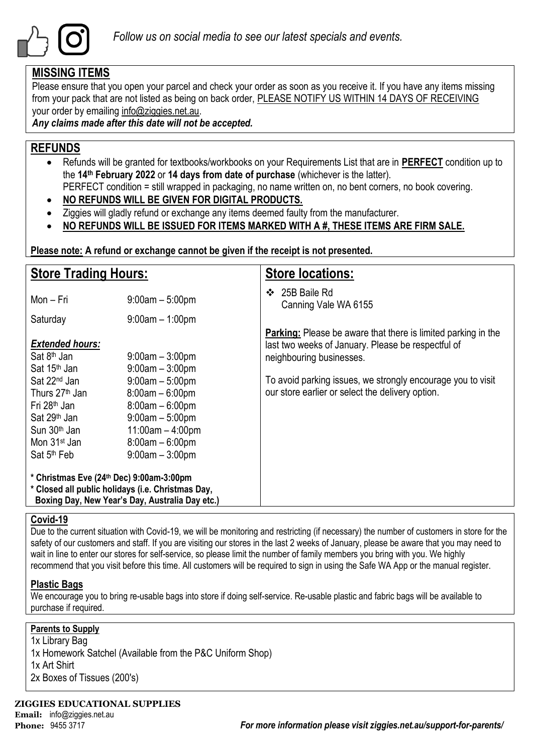

### **MISSING ITEMS**

Please ensure that you open your parcel and check your order as soon as you receive it. If you have any items missing from your pack that are not listed as being on back order, PLEASE NOTIFY US WITHIN 14 DAYS OF RECEIVING your order by emailing info@ziggies.net.au.

*Any claims made after this date will not be accepted.*

### **REFUNDS**

- Refunds will be granted for textbooks/workbooks on your Requirements List that are in **PERFECT** condition up to the **14th February 2022** or **14 days from date of purchase** (whichever is the latter). PERFECT condition = still wrapped in packaging, no name written on, no bent corners, no book covering.
- **NO REFUNDS WILL BE GIVEN FOR DIGITAL PRODUCTS.**
- Ziggies will gladly refund or exchange any items deemed faulty from the manufacturer.
- **NO REFUNDS WILL BE ISSUED FOR ITEMS MARKED WITH A #, THESE ITEMS ARE FIRM SALE.**

**Please note: A refund or exchange cannot be given if the receipt is not presented.**

| <b>Store Trading Hours:</b>                                                                                                                                                                       |                                                                                                                                                  | <b>Store locations:</b>                                                                                                                                |  |  |  |  |
|---------------------------------------------------------------------------------------------------------------------------------------------------------------------------------------------------|--------------------------------------------------------------------------------------------------------------------------------------------------|--------------------------------------------------------------------------------------------------------------------------------------------------------|--|--|--|--|
| Mon - Fri                                                                                                                                                                                         | $9:00am - 5:00pm$                                                                                                                                | 25B Baile Rd<br>❖<br>Canning Vale WA 6155                                                                                                              |  |  |  |  |
| Saturday                                                                                                                                                                                          | $9:00am - 1:00pm$                                                                                                                                |                                                                                                                                                        |  |  |  |  |
| <b>Extended hours:</b><br>Sat 8 <sup>th</sup> Jan<br>Sat 15 <sup>th</sup> Jan                                                                                                                     | $9:00$ am $-3:00$ pm<br>$9:00am - 3:00pm$                                                                                                        | <b>Parking:</b> Please be aware that there is limited parking in the<br>last two weeks of January. Please be respectful of<br>neighbouring businesses. |  |  |  |  |
| Sat 22 <sup>nd</sup> Jan<br>Thurs 27 <sup>th</sup> Jan<br>Fri 28 <sup>th</sup> Jan<br>Sat 29 <sup>th</sup> Jan<br>Sun 30 <sup>th</sup> Jan<br>Mon 31 <sup>st</sup> Jan<br>Sat 5 <sup>th</sup> Feb | $9:00am - 5:00pm$<br>$8:00am - 6:00pm$<br>$8:00am - 6:00pm$<br>$9:00am - 5:00pm$<br>$11:00am - 4:00pm$<br>$8:00am - 6:00pm$<br>$9:00am - 3:00pm$ | To avoid parking issues, we strongly encourage you to visit<br>our store earlier or select the delivery option.                                        |  |  |  |  |
| * Christmas Eve (24th Dec) 9:00am-3:00pm<br>* Closed all public holidays (i.e. Christmas Day,<br>Boxing Day, New Year's Day, Australia Day etc.)                                                  |                                                                                                                                                  |                                                                                                                                                        |  |  |  |  |

#### **Covid-19**

Due to the current situation with Covid-19, we will be monitoring and restricting (if necessary) the number of customers in store for the safety of our customers and staff. If you are visiting our stores in the last 2 weeks of January, please be aware that you may need to wait in line to enter our stores for self-service, so please limit the number of family members you bring with you. We highly recommend that you visit before this time. All customers will be required to sign in using the Safe WA App or the manual register.

#### **Plastic Bags**

We encourage you to bring re-usable bags into store if doing self-service. Re-usable plastic and fabric bags will be available to purchase if required.

#### **Parents to Supply**

1x Library Bag 1x Homework Satchel (Available from the P&C Uniform Shop) 1x Art Shirt 2x Boxes of Tissues (200's)